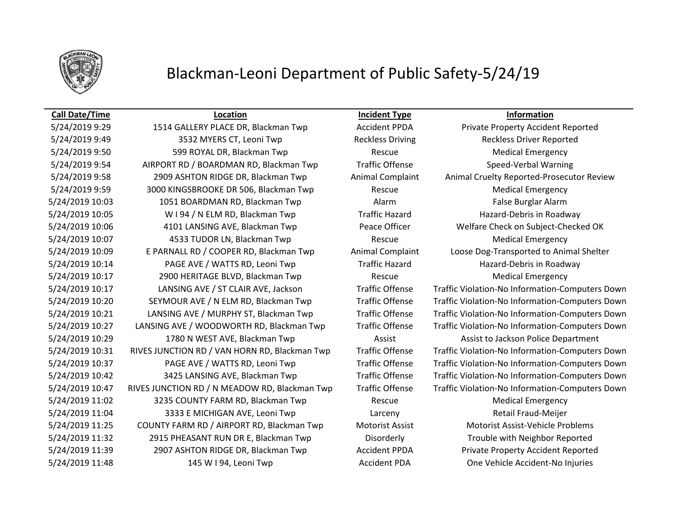

### **Call Date/Time Location Incident Type Information**

5/24/2019 9:49 3532 MYERS CT, Leoni Twp Reckless Driving Reckless Driver Reported 5/24/2019 9:50 599 ROYAL DR, Blackman Twp Rescue Rescue Medical Emergency 5/24/2019 9:54 AIRPORT RD / BOARDMAN RD, Blackman Twp Traffic Offense Speed-Verbal Warning 5/24/2019 9:58 2909 ASHTON RIDGE DR, Blackman Twp Animal Complaint Animal Cruelty Reported-Prosecutor Review 5/24/2019 9:59 3000 KINGSBROOKE DR 506, Blackman Twp Rescue Rescue Medical Emergency 5/24/2019 10:03 1051 BOARDMAN RD, Blackman Twp **Alarm** Alarm False Burglar Alarm 5/24/2019 10:05 W I 94 / N ELM RD, Blackman Twp Traffic Hazard Hazard-Debris in Roadway 5/24/2019 10:06 4101 LANSING AVE, Blackman Twp Peace Officer Welfare Check on Subject-Checked OK 5/24/2019 10:07 4533 TUDOR LN, Blackman Twp Rescue Medical Emergency 5/24/2019 10:09 E PARNALL RD / COOPER RD, Blackman Twp Animal Complaint Loose Dog-Transported to Animal Shelter 5/24/2019 10:14 PAGE AVE / WATTS RD, Leoni Twp Traffic Hazard Hazard Hazard-Debris in Roadway 5/24/2019 10:17 2900 HERITAGE BLVD, Blackman Twp Rescue Medical Emergency 5/24/2019 10:17 LANSING AVE / ST CLAIR AVE, Jackson Traffic Offense Traffic Violation-No Information-Computers Down 5/24/2019 10:20 SEYMOUR AVE / N ELM RD, Blackman Twp Traffic Offense Traffic Violation-No Information-Computers Down 5/24/2019 10:21 LANSING AVE / MURPHY ST, Blackman Twp Traffic Offense Traffic Violation-No Information-Computers Down 5/24/2019 10:27 LANSING AVE / WOODWORTH RD, Blackman Twp Traffic Offense Traffic Violation-No Information-Computers Down 5/24/2019 10:29 1780 N WEST AVE, Blackman Twp **Assist Assist Assist to Jackson Police Department** 5/24/2019 10:31 RIVES JUNCTION RD / VAN HORN RD, Blackman Twp Traffic Offense Traffic Violation-No Information-Computers Down 5/24/2019 10:37 PAGE AVE / WATTS RD, Leoni Twp Traffic Offense Traffic Violation-No Information-Computers Down 5/24/2019 10:42 3425 LANSING AVE, Blackman Twp Traffic Offense Traffic Violation-No Information-Computers Down 5/24/2019 10:47 RIVES JUNCTION RD / N MEADOW RD, Blackman Twp Traffic Offense Traffic Violation-No Information-Computers Down 5/24/2019 11:02 3235 COUNTY FARM RD, Blackman Twp Rescue Rescue Medical Emergency 5/24/2019 11:04 3333 E MICHIGAN AVE, Leoni Twp Larceny Retail Fraud-Meijer 5/24/2019 11:25 COUNTY FARM RD / AIRPORT RD, Blackman Twp Motorist Assist Motorist Assist-Vehicle Problems 5/24/2019 11:32 2915 PHEASANT RUN DR E, Blackman Twp Disorderly Trouble with Neighbor Reported 5/24/2019 11:39 2907 ASHTON RIDGE DR, Blackman Twp Accident PPDA Private Property Accident Reported 5/24/2019 11:48 145 W I 94, Leoni Twp Accident PDA One Vehicle Accident-No Injuries

5/24/2019 9:29 1514 GALLERY PLACE DR, Blackman Twp Accident PPDA Private Property Accident Reported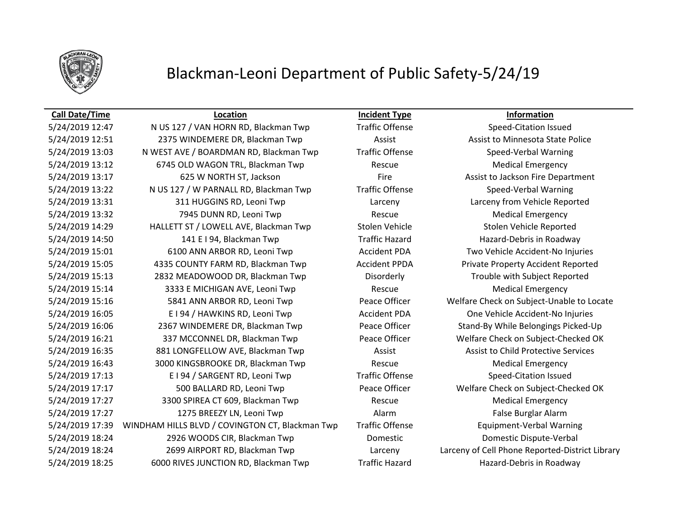

### **Call Date/Time Location Incident Type Information**

5/24/2019 12:47 N US 127 / VAN HORN RD, Blackman Twp Traffic Offense Speed-Citation Issued 5/24/2019 12:51 2375 WINDEMERE DR, Blackman Twp **Assist Assist Assist Lackman Assist Assist Assist Assist Communist Assist Assist Assist Assist Assist Assist Assist Assist Assist Assist Assist Assist Assist Assist Assist A** 5/24/2019 13:03 N WEST AVE / BOARDMAN RD, Blackman Twp Traffic Offense Speed-Verbal Warning 5/24/2019 13:12 6745 OLD WAGON TRL, Blackman Twp Rescue Medical Emergency 5/24/2019 13:17 625 W NORTH ST, Jackson **Fire** Fire **Assist to Jackson Fire Department** 5/24/2019 13:22 N US 127 / W PARNALL RD, Blackman Twp Traffic Offense Speed-Verbal Warning 5/24/2019 13:31 311 HUGGINS RD, Leoni Twp Larceny Larceny from Vehicle Reported 5/24/2019 13:32 **7945 DUNN RD, Leoni Twp** Rescue Rescue Medical Emergency 5/24/2019 14:29 HALLETT ST / LOWELL AVE, Blackman Twp Stolen Vehicle Stolen Vehicle Reported 5/24/2019 14:50 141 E I 94, Blackman Twp Traffic Hazard Hazard-Debris in Roadway 5/24/2019 15:01 6100 ANN ARBOR RD, Leoni Twp Accident PDA Two Vehicle Accident-No Injuries 5/24/2019 15:05 4335 COUNTY FARM RD, Blackman Twp Accident PPDA Private Property Accident Reported 5/24/2019 15:13 2832 MEADOWOOD DR, Blackman Twp Disorderly Trouble with Subject Reported 5/24/2019 15:14 3333 E MICHIGAN AVE, Leoni Twp Rescue Rescue Medical Emergency 5/24/2019 15:16 5841 ANN ARBOR RD, Leoni Twp Peace Officer Welfare Check on Subject-Unable to Locate 5/24/2019 16:05 E I 94 / HAWKINS RD, Leoni Twp Accident PDA One Vehicle Accident-No Injuries 5/24/2019 16:06 2367 WINDEMERE DR, Blackman Twp Peace Officer Stand-By While Belongings Picked-Up 5/24/2019 16:21 337 MCCONNEL DR, Blackman Twp Peace Officer Welfare Check on Subject-Checked OK 5/24/2019 16:35 881 LONGFELLOW AVE, Blackman Twp **Assist Assist Assist to Child Protective Services** 5/24/2019 16:43 3000 KINGSBROOKE DR, Blackman Twp Rescue Medical Emergency 5/24/2019 17:13 E I 94 / SARGENT RD, Leoni Twp Traffic Offense Speed-Citation Issued 5/24/2019 17:17 500 BALLARD RD, Leoni Twp Peace Officer Welfare Check on Subject-Checked OK 5/24/2019 17:27 3300 SPIREA CT 609, Blackman Twp Rescue Medical Emergency 5/24/2019 17:27 **1275 BREEZY LN, Leoni Twp** Alarm Alarm **False Burglar Alarm** False Burglar Alarm 5/24/2019 17:39 WINDHAM HILLS BLVD / COVINGTON CT, Blackman Twp Traffic Offense Equipment-Verbal Warning 5/24/2019 18:24 2926 WOODS CIR, Blackman Twp Domestic Domestic Dispute-Verbal 5/24/2019 18:24 2699 AIRPORT RD, Blackman Twp Larceny Larceny of Cell Phone Reported-District Library 5/24/2019 18:25 6000 RIVES JUNCTION RD, Blackman Twp Traffic Hazard Hazard-Debris in Roadway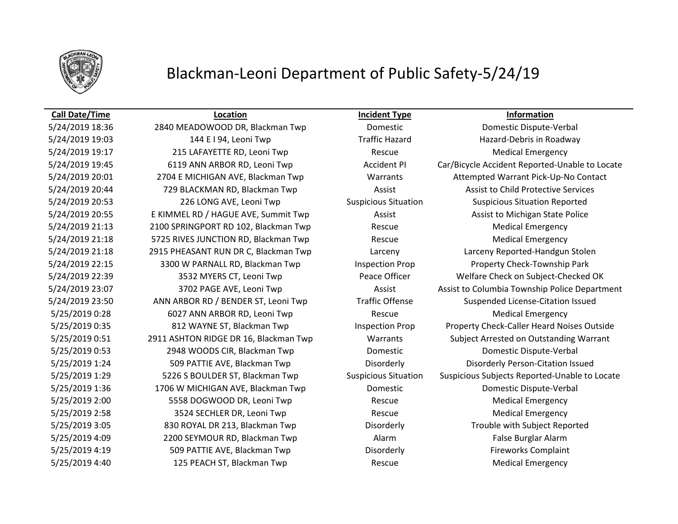

### **Call Date/Time Location Incident Type Information**

5/25/2019 4:40 125 PEACH ST, Blackman Twp Rescue Medical Emergency

5/24/2019 18:36 2840 MEADOWOOD DR, Blackman Twp Domestic Domestic Dispute-Verbal 5/24/2019 19:03 144 E I 94, Leoni Twp Traffic Hazard Hazard-Debris in Roadway 5/24/2019 19:17 215 LAFAYETTE RD, Leoni Twp Rescue Rescue Medical Emergency 5/24/2019 19:45 6119 ANN ARBOR RD, Leoni Twp Accident PI Car/Bicycle Accident Reported-Unable to Locate 5/24/2019 20:01 2704 E MICHIGAN AVE, Blackman Twp Warrants Attempted Warrant Pick-Up-No Contact 5/24/2019 20:44 729 BLACKMAN RD, Blackman Twp **Assist Assist Assist to Child Protective Services** 5/24/2019 20:53 226 LONG AVE, Leoni Twp Suspicious Situation Suspicious Situation Reported 5/24/2019 20:55 E KIMMEL RD / HAGUE AVE, Summit Twp Assist Assist Assist Assist to Michigan State Police 5/24/2019 21:13 2100 SPRINGPORT RD 102, Blackman Twp Rescue Medical Emergency 5/24/2019 21:18 5725 RIVES JUNCTION RD, Blackman Twp Rescue Medical Emergency 5/24/2019 21:18 2915 PHEASANT RUN DR C, Blackman Twp Larceny Larceny Reported-Handgun Stolen 5/24/2019 22:15 3300 W PARNALL RD, Blackman Twp Inspection Prop Property Check-Township Park 5/24/2019 22:39 3532 MYERS CT, Leoni Twp Peace Officer Welfare Check on Subject-Checked OK 5/24/2019 23:07 3702 PAGE AVE, Leoni Twp Assist Assist Assist to Columbia Township Police Department 5/24/2019 23:50 ANN ARBOR RD / BENDER ST, Leoni Twp Traffic Offense Suspended License-Citation Issued 5/25/2019 0:28 6027 ANN ARBOR RD, Leoni Twp Rescue Rescue Medical Emergency 5/25/2019 0:35 812 WAYNE ST, Blackman Twp Inspection Prop Property Check-Caller Heard Noises Outside 5/25/2019 0:51 2911 ASHTON RIDGE DR 16, Blackman Twp Warrants Subject Arrested on Outstanding Warrant 5/25/2019 0:53 2948 WOODS CIR, Blackman Twp Domestic Domestic Dispute-Verbal 5/25/2019 1:24 509 PATTIE AVE, Blackman Twp Disorderly Disorderly Person-Citation Issued 5/25/2019 1:29 5226 S BOULDER ST, Blackman Twp Suspicious Situation Suspicious Subjects Reported-Unable to Locate 5/25/2019 1:36 1706 W MICHIGAN AVE, Blackman Twp Domestic Domestic Dispute-Verbal 5/25/2019 2:00 S5558 DOGWOOD DR, Leoni Twp Rescue Rescue Medical Emergency 5/25/2019 2:58 3524 SECHLER DR, Leoni Twp Rescue Rescue Medical Emergency 5/25/2019 3:05 830 ROYAL DR 213, Blackman Twp Disorderly Trouble with Subject Reported 5/25/2019 4:09 2200 SEYMOUR RD, Blackman Twp Alarm Alarm False Burglar Alarm 5/25/2019 4:19 509 PATTIE AVE, Blackman Twp Disorderly Disorderly Fireworks Complaint